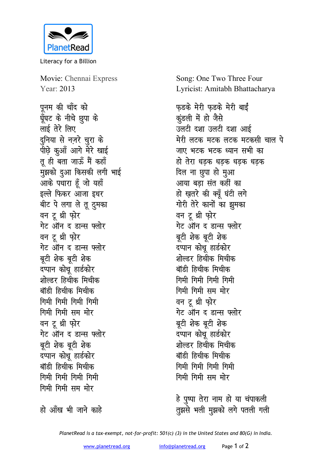

Literacy for a Billion

Movie: Chennai Express Year: 2013

पनम की चाँद को घूँघट के नीचे छूपा के लाई तेरे लिए दुनिया से नज़रे चुरा के पीछ़े कुआँ आगे मेरे खाई तू ही बता जाऊँ मैं कहाँ मुझको दुआ किसकी लगी भाई आके पधारा हूँ जो यहाँ इल्ले फिकर आजा इधर बीट पे लगा ले तू ठुमका वन टू थ्री फ़ोर गेट ऑन द डान्स फ्लोर वन टू थ्री फ़ोर गेट ऑन द डान्स फ्लोर बूटी शेक बूटी शेक दप्पान कोथ हार्डकोर शोल्डर हिचीक मिचीक बॉडी हिचीक मिचीक गिमी गिमी गिमी गिमी गिमी गिमी सम मोर वन टू थ्री फ़ोर गेट ऑन द डान्स फ्लोर बुटी शेक बुटी शेक दप्पान कोथू हार्डकोर बॉडी हिचीक मिचीक गिमी गिमी गिमी गिमी गिमी गिमी सम मोर

Song: One Two Three Four Lyricist: Amitabh Bhattacharya

फड़के मेरी फ़ड़के मेरी बाईं कुंडली में हो जैसे उलटी दशा उलटी दशा आई मेरी लटक मटक लटक मटकसी चाल पे जाए भटक भटक ध्यान सभी का हो तेरा धडक धडक धडक धडक दिल ना छूपा हो मुआ आया बडा संत कहीं का हो ख़तरे की क्यूँ घंटी लगे गोरी तेरे कानों का झूमका वन टू थ्री फ़ोर गेट ऑन द डान्स फ्लोर बूटी शेक बूटी शेक दप्पान कोथू हार्डकोर शोल्डर हिचीक मिचीक बॉडी हिचीक मिचीक गिमी गिमी गिमी गिमी गिमी गिमी सम मोर वन टू थ्री फ़ोर गेट ऑन द डान्स फ्लोर बूटी शेक बूटी शेक दप्पान कोथ हार्डकोर शोल्डर हिचीक मिचीक बॉडी हिचीक मिचीक गिमी गिमी गिमी गिमी गिमी गिमी सम मोर

हे पृष्पा तेरा नाम हो या चंपाकली तुझसे भली मुझको लगे पतली गली

हो आँख भी जाने काहे

PlanetRead is a tax-exempt, not-for-profit: 501(c) (3) in the United States and 80(G) in India.